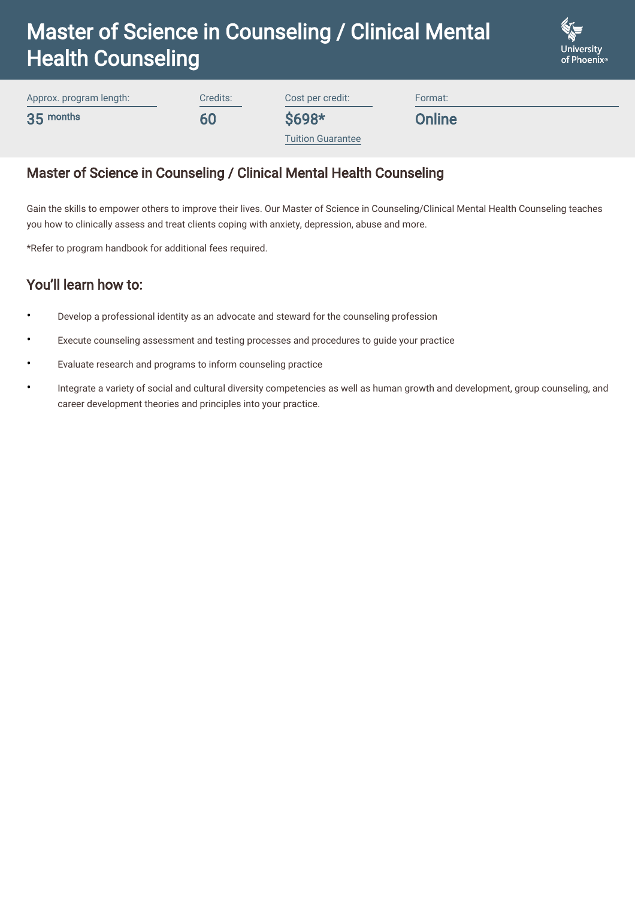# Master of Science in Counseling / Clinical Mental Health Counseling



Approx. program length: 35 months

Cost per credit:

\$698\*

**Online** 

Format:

[Tuition Guarantee](https://www.phoenix.edu/content/altcloud/en/tuition_and_financial_options/tuition_and_fees.html)

## Master of Science in Counseling / Clinical Mental Health Counseling

Credits:

60

Gain the skills to empower others to improve their lives. Our Master of Science in Counseling/Clinical Mental Health Counseling teaches you how to clinically assess and treat clients coping with anxiety, depression, abuse and more.

\*Refer to program handbook for additional fees required.

### You'll learn how to:

- Develop a professional identity as an advocate and steward for the counseling profession
- Execute counseling assessment and testing processes and procedures to guide your practice
- Evaluate research and programs to inform counseling practice
- Integrate a variety of social and cultural diversity competencies as well as human growth and development, group counseling, and career development theories and principles into your practice. •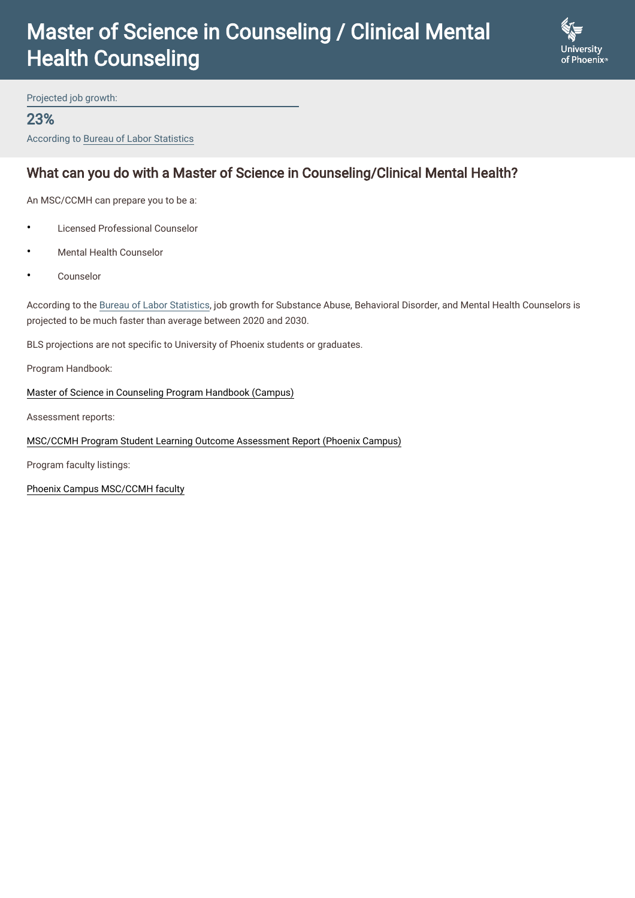## Master of Science in Counseling / Clinical Mental Health Counseling



Projected job growth:

#### 23%

According to Bureau of Labor Statistics

### What can you do with a Master of Science in Counseling/Clinical Mental Health?

An MSC/CCMH can prepare you to be a:

- Licensed Professional Counselor
- Mental Health Counselor
- Counselor

According to the [Bureau of Labor Statistics,](https://www.bls.gov/ooh/community-and-social-service/substance-abuse-behavioral-disorder-and-mental-health-counselors.htm) job growth for Substance Abuse, Behavioral Disorder, and Mental Health Counselors is projected to be much faster than average between 2020 and 2030.

BLS projections are not specific to University of Phoenix students or graduates.

Program Handbook:

[Master of Science in Counseling Program Handbook \(Campus\)](https://www.phoenix.edu/content/dam/uopx/doc/msc-ccmh-campus-program-handbook.pdf)

Assessment reports:

#### [MSC/CCMH Program Student Learning Outcome Assessment Report \(Phoenix Campus\)](https://www.phoenix.edu/content/dam/uopx/doc/CCMH-4D-Phoenix-FY2019-Final.pdf)

Program faculty listings:

[Phoenix Campus MSC/CCMH faculty](https://www.phoenix.edu/degrees/behavioral-sciences/msc-ccmh/arizona-faculty.html)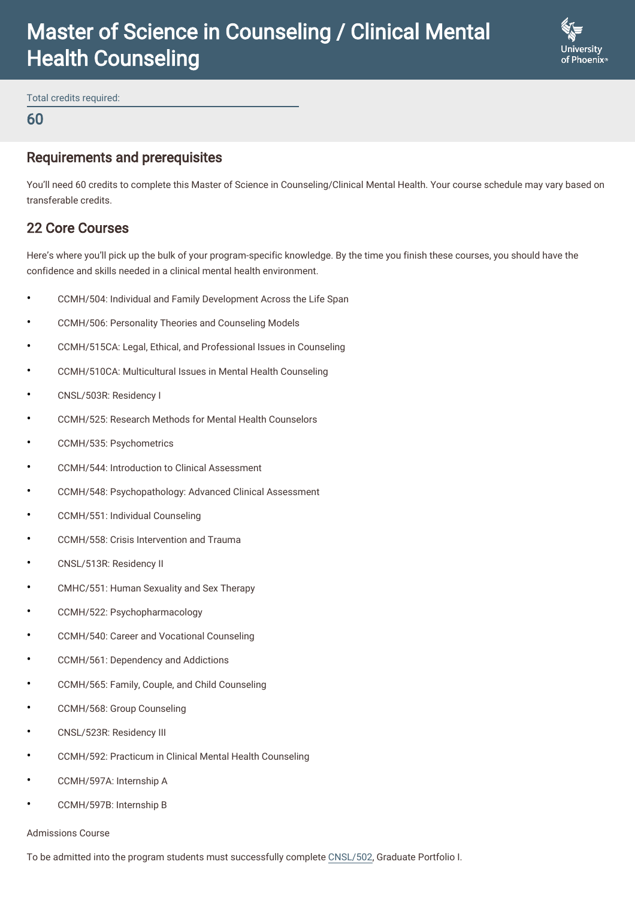## Master of Science in Counseling / Clinical Mental Health Counseling



Total credits required:

#### 60

#### Requirements and prerequisites

You'll need 60 credits to complete this Master of Science in Counseling/Clinical Mental Health. Your course schedule may vary based on transferable credits.

### 22 Core Courses

Here's where you'll pick up the bulk of your program-specific knowledge. By the time you finish these courses, you should have the confidence and skills needed in a clinical mental health environment.

- CCMH/504: Individual and Family Development Across the Life Span
- CCMH/506: Personality Theories and Counseling Models
- CCMH/515CA: Legal, Ethical, and Professional Issues in Counseling
- CCMH/510CA: Multicultural Issues in Mental Health Counseling
- CNSL/503R: Residency I
- CCMH/525: Research Methods for Mental Health Counselors
- CCMH/535: Psychometrics
- CCMH/544: Introduction to Clinical Assessment
- CCMH/548: Psychopathology: Advanced Clinical Assessment
- CCMH/551: Individual Counseling
- CCMH/558: Crisis Intervention and Trauma
- CNSL/513R: Residency II
- CMHC/551: Human Sexuality and Sex Therapy
- CCMH/522: Psychopharmacology
- CCMH/540: Career and Vocational Counseling
- CCMH/561: Dependency and Addictions
- CCMH/565: Family, Couple, and Child Counseling
- CCMH/568: Group Counseling
- CNSL/523R: Residency III
- CCMH/592: Practicum in Clinical Mental Health Counseling
- CCMH/597A: Internship A
- CCMH/597B: Internship B

#### Admissions Course

To be admitted into the program students must successfully complete [CNSL/502,](https://www.phoenix.edu/courses/cnsl502.html) Graduate Portfolio I.